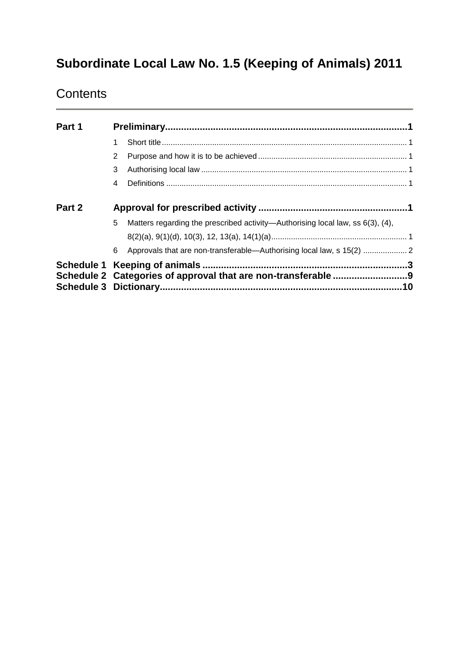# **Subordinate Local Law No. 1.5 (Keeping of Animals) 2011**

# **Contents**

| Part 1 |   |                                                                                      |     |  |
|--------|---|--------------------------------------------------------------------------------------|-----|--|
|        |   |                                                                                      |     |  |
|        | 2 |                                                                                      |     |  |
|        | 3 |                                                                                      |     |  |
|        | 4 |                                                                                      |     |  |
| Part 2 |   |                                                                                      |     |  |
|        | 5 | Matters regarding the prescribed activity—Authorising local law, ss $6(3)$ , $(4)$ , |     |  |
|        |   |                                                                                      |     |  |
|        | 6 | Approvals that are non-transferable-Authorising local law, s 15(2)  2                |     |  |
|        |   |                                                                                      |     |  |
|        |   |                                                                                      |     |  |
|        |   |                                                                                      | .10 |  |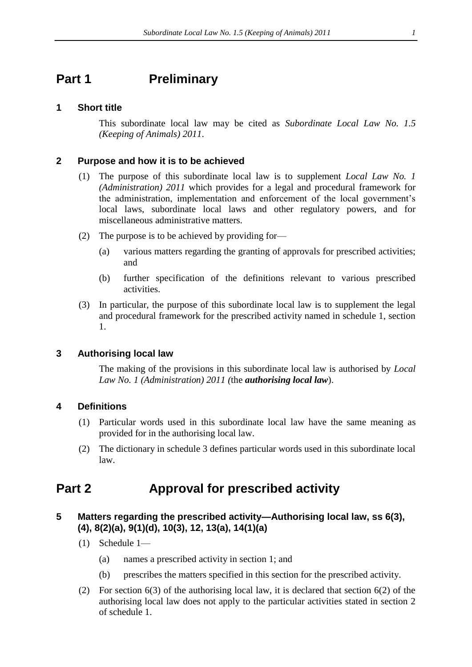# <span id="page-1-0"></span>**Part 1 Preliminary**

#### <span id="page-1-1"></span>**1 Short title**

This subordinate local law may be cited as *Subordinate Local Law No. 1.5 (Keeping of Animals) 2011*.

#### <span id="page-1-2"></span>**2 Purpose and how it is to be achieved**

- (1) The purpose of this subordinate local law is to supplement *Local Law No. 1 (Administration) 2011* which provides for a legal and procedural framework for the administration, implementation and enforcement of the local government's local laws, subordinate local laws and other regulatory powers, and for miscellaneous administrative matters.
- (2) The purpose is to be achieved by providing for—
	- (a) various matters regarding the granting of approvals for prescribed activities; and
	- (b) further specification of the definitions relevant to various prescribed activities.
- (3) In particular, the purpose of this subordinate local law is to supplement the legal and procedural framework for the prescribed activity named in schedule 1, section 1.

### <span id="page-1-3"></span>**3 Authorising local law**

The making of the provisions in this subordinate local law is authorised by *Local Law No. 1 (Administration) 2011 (*the *authorising local law*).

### <span id="page-1-4"></span>**4 Definitions**

- (1) Particular words used in this subordinate local law have the same meaning as provided for in the authorising local law.
- (2) The dictionary in schedule 3 defines particular words used in this subordinate local law.

# <span id="page-1-5"></span>**Part 2 Approval for prescribed activity**

### <span id="page-1-6"></span>**5 Matters regarding the prescribed activity—Authorising local law, ss 6(3), (4), 8(2)(a), 9(1)(d), 10(3), 12, 13(a), 14(1)(a)**

- (1) Schedule 1—
	- (a) names a prescribed activity in section 1; and
	- (b) prescribes the matters specified in this section for the prescribed activity.
- (2) For section 6(3) of the authorising local law, it is declared that section 6(2) of the authorising local law does not apply to the particular activities stated in section 2 of schedule 1.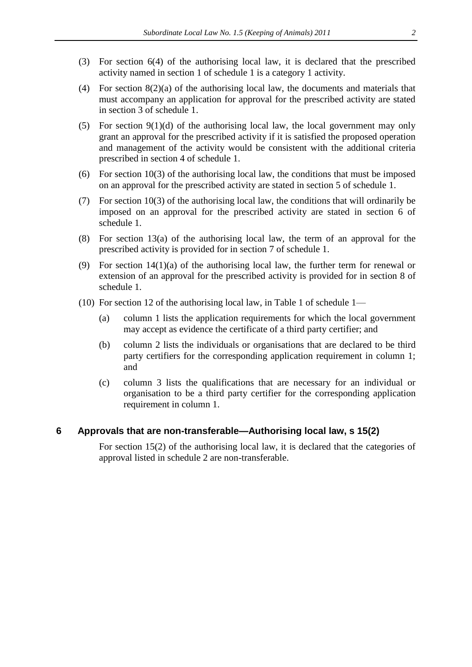- (3) For section 6(4) of the authorising local law, it is declared that the prescribed activity named in section 1 of schedule 1 is a category 1 activity.
- (4) For section 8(2)(a) of the authorising local law, the documents and materials that must accompany an application for approval for the prescribed activity are stated in section 3 of schedule 1.
- (5) For section  $9(1)(d)$  of the authorising local law, the local government may only grant an approval for the prescribed activity if it is satisfied the proposed operation and management of the activity would be consistent with the additional criteria prescribed in section 4 of schedule 1.
- (6) For section 10(3) of the authorising local law, the conditions that must be imposed on an approval for the prescribed activity are stated in section 5 of schedule 1.
- (7) For section 10(3) of the authorising local law, the conditions that will ordinarily be imposed on an approval for the prescribed activity are stated in section 6 of schedule 1.
- (8) For section 13(a) of the authorising local law, the term of an approval for the prescribed activity is provided for in section 7 of schedule 1.
- (9) For section  $14(1)(a)$  of the authorising local law, the further term for renewal or extension of an approval for the prescribed activity is provided for in section 8 of schedule 1.
- (10) For section 12 of the authorising local law, in Table 1 of schedule 1—
	- (a) column 1 lists the application requirements for which the local government may accept as evidence the certificate of a third party certifier; and
	- (b) column 2 lists the individuals or organisations that are declared to be third party certifiers for the corresponding application requirement in column 1; and
	- (c) column 3 lists the qualifications that are necessary for an individual or organisation to be a third party certifier for the corresponding application requirement in column 1.

#### <span id="page-2-0"></span>**6 Approvals that are non-transferable—Authorising local law, s 15(2)**

For section 15(2) of the authorising local law, it is declared that the categories of approval listed in schedule 2 are non-transferable.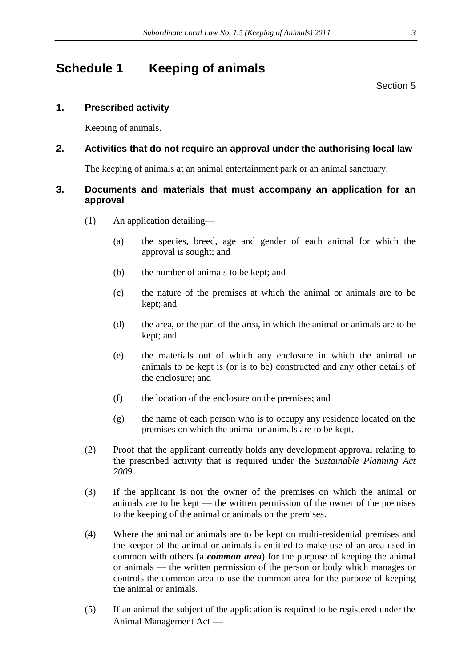# <span id="page-3-0"></span>**Schedule 1 Keeping of animals**

Section [5](#page-1-6)

# **1. Prescribed activity**

Keeping of animals.

# **2. Activities that do not require an approval under the authorising local law**

The keeping of animals at an animal entertainment park or an animal sanctuary.

# **3. Documents and materials that must accompany an application for an approval**

- (1) An application detailing—
	- (a) the species, breed, age and gender of each animal for which the approval is sought; and
	- (b) the number of animals to be kept; and
	- (c) the nature of the premises at which the animal or animals are to be kept; and
	- (d) the area, or the part of the area, in which the animal or animals are to be kept; and
	- (e) the materials out of which any enclosure in which the animal or animals to be kept is (or is to be) constructed and any other details of the enclosure; and
	- (f) the location of the enclosure on the premises; and
	- (g) the name of each person who is to occupy any residence located on the premises on which the animal or animals are to be kept.
- (2) Proof that the applicant currently holds any development approval relating to the prescribed activity that is required under the *Sustainable Planning Act 2009*.
- (3) If the applicant is not the owner of the premises on which the animal or animals are to be kept — the written permission of the owner of the premises to the keeping of the animal or animals on the premises.
- (4) Where the animal or animals are to be kept on multi-residential premises and the keeper of the animal or animals is entitled to make use of an area used in common with others (a *common area*) for the purpose of keeping the animal or animals — the written permission of the person or body which manages or controls the common area to use the common area for the purpose of keeping the animal or animals.
- (5) If an animal the subject of the application is required to be registered under the Animal Management Act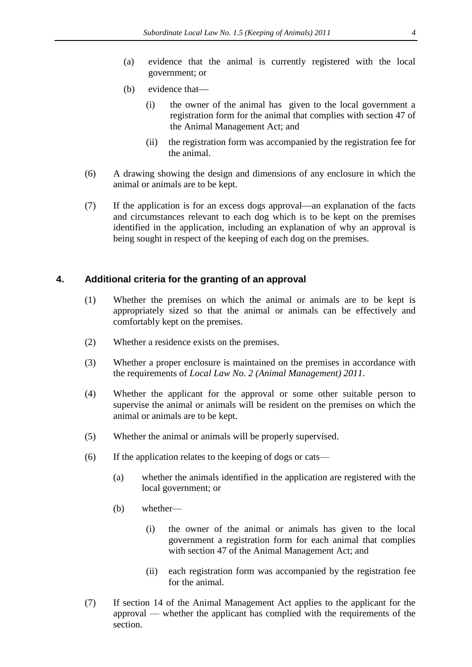- (a) evidence that the animal is currently registered with the local government; or
- (b) evidence that
	- (i) the owner of the animal has given to the local government a registration form for the animal that complies with section 47 of the Animal Management Act; and
	- (ii) the registration form was accompanied by the registration fee for the animal.
- (6) A drawing showing the design and dimensions of any enclosure in which the animal or animals are to be kept.
- $(7)$  If the application is for an excess dogs approval—an explanation of the facts and circumstances relevant to each dog which is to be kept on the premises identified in the application, including an explanation of why an approval is being sought in respect of the keeping of each dog on the premises.

### **4. Additional criteria for the granting of an approval**

- (1) Whether the premises on which the animal or animals are to be kept is appropriately sized so that the animal or animals can be effectively and comfortably kept on the premises.
- (2) Whether a residence exists on the premises.
- (3) Whether a proper enclosure is maintained on the premises in accordance with the requirements of *Local Law No. 2 (Animal Management) 2011*.
- (4) Whether the applicant for the approval or some other suitable person to supervise the animal or animals will be resident on the premises on which the animal or animals are to be kept.
- (5) Whether the animal or animals will be properly supervised.
- (6) If the application relates to the keeping of dogs or cats—
	- (a) whether the animals identified in the application are registered with the local government; or
	- (b) whether—
		- (i) the owner of the animal or animals has given to the local government a registration form for each animal that complies with section 47 of the Animal Management Act; and
		- (ii) each registration form was accompanied by the registration fee for the animal.
- (7) If section 14 of the Animal Management Act applies to the applicant for the approval — whether the applicant has complied with the requirements of the section.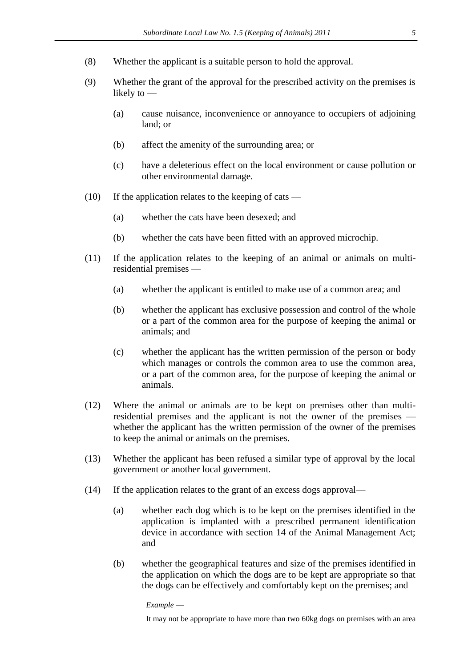- (8) Whether the applicant is a suitable person to hold the approval.
- (9) Whether the grant of the approval for the prescribed activity on the premises is likely to —
	- (a) cause nuisance, inconvenience or annoyance to occupiers of adjoining land; or
	- (b) affect the amenity of the surrounding area; or
	- (c) have a deleterious effect on the local environment or cause pollution or other environmental damage.
- (10) If the application relates to the keeping of cats
	- (a) whether the cats have been desexed; and
	- (b) whether the cats have been fitted with an approved microchip.
- (11) If the application relates to the keeping of an animal or animals on multiresidential premises —
	- (a) whether the applicant is entitled to make use of a common area; and
	- (b) whether the applicant has exclusive possession and control of the whole or a part of the common area for the purpose of keeping the animal or animals; and
	- (c) whether the applicant has the written permission of the person or body which manages or controls the common area to use the common area, or a part of the common area, for the purpose of keeping the animal or animals.
- (12) Where the animal or animals are to be kept on premises other than multiresidential premises and the applicant is not the owner of the premises whether the applicant has the written permission of the owner of the premises to keep the animal or animals on the premises.
- (13) Whether the applicant has been refused a similar type of approval by the local government or another local government.
- (14) If the application relates to the grant of an excess dogs approval—
	- (a) whether each dog which is to be kept on the premises identified in the application is implanted with a prescribed permanent identification device in accordance with section 14 of the Animal Management Act; and
	- (b) whether the geographical features and size of the premises identified in the application on which the dogs are to be kept are appropriate so that the dogs can be effectively and comfortably kept on the premises; and

*Example* —

It may not be appropriate to have more than two 60kg dogs on premises with an area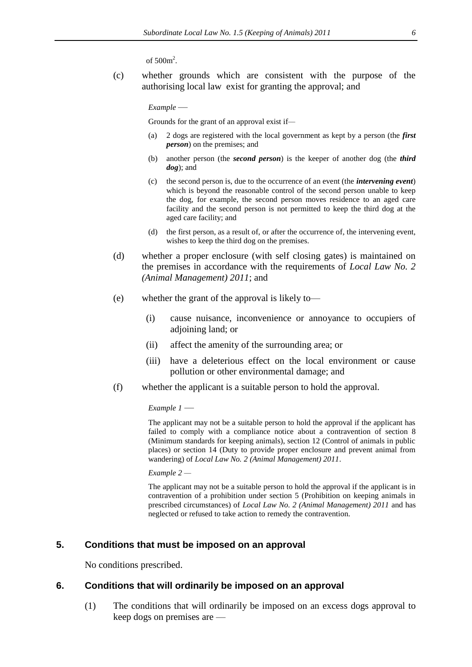of  $500m^2$ .

(c) whether grounds which are consistent with the purpose of the authorising local law exist for granting the approval; and

*Example* —

Grounds for the grant of an approval exist if*—*

- (a) 2 dogs are registered with the local government as kept by a person (the *first person*) on the premises; and
- (b) another person (the *second person*) is the keeper of another dog (the *third dog*); and
- (c) the second person is, due to the occurrence of an event (the *intervening event*) which is beyond the reasonable control of the second person unable to keep the dog, for example, the second person moves residence to an aged care facility and the second person is not permitted to keep the third dog at the aged care facility; and
- (d) the first person, as a result of, or after the occurrence of, the intervening event, wishes to keep the third dog on the premises.
- (d) whether a proper enclosure (with self closing gates) is maintained on the premises in accordance with the requirements of *Local Law No. 2 (Animal Management) 2011*; and
- (e) whether the grant of the approval is likely to—
	- (i) cause nuisance, inconvenience or annoyance to occupiers of adjoining land; or
	- (ii) affect the amenity of the surrounding area; or
	- (iii) have a deleterious effect on the local environment or cause pollution or other environmental damage; and
- (f) whether the applicant is a suitable person to hold the approval.

*Example 1* —

The applicant may not be a suitable person to hold the approval if the applicant has failed to comply with a compliance notice about a contravention of section 8 (Minimum standards for keeping animals), section 12 (Control of animals in public places) or section 14 (Duty to provide proper enclosure and prevent animal from wandering) of *Local Law No. 2 (Animal Management) 2011*.

*Example 2 —*

The applicant may not be a suitable person to hold the approval if the applicant is in contravention of a prohibition under section 5 (Prohibition on keeping animals in prescribed circumstances) of *Local Law No. 2 (Animal Management) 2011* and has neglected or refused to take action to remedy the contravention.

#### **5. Conditions that must be imposed on an approval**

No conditions prescribed.

#### **6. Conditions that will ordinarily be imposed on an approval**

(1) The conditions that will ordinarily be imposed on an excess dogs approval to keep dogs on premises are —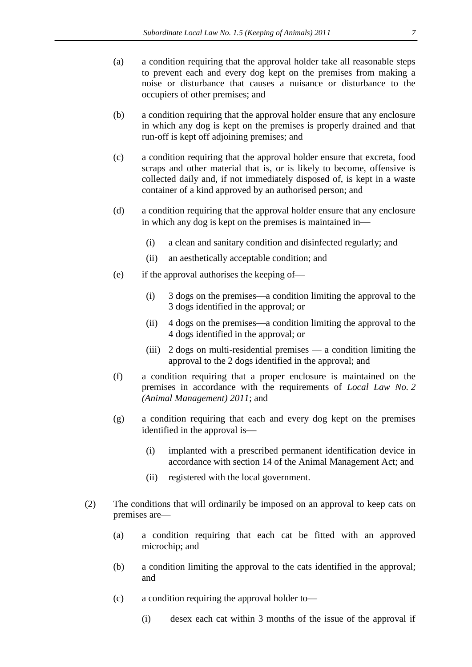- (a) a condition requiring that the approval holder take all reasonable steps to prevent each and every dog kept on the premises from making a noise or disturbance that causes a nuisance or disturbance to the occupiers of other premises; and
- (b) a condition requiring that the approval holder ensure that any enclosure in which any dog is kept on the premises is properly drained and that run-off is kept off adjoining premises; and
- (c) a condition requiring that the approval holder ensure that excreta, food scraps and other material that is, or is likely to become, offensive is collected daily and, if not immediately disposed of, is kept in a waste container of a kind approved by an authorised person; and
- (d) a condition requiring that the approval holder ensure that any enclosure in which any dog is kept on the premises is maintained in
	- (i) a clean and sanitary condition and disinfected regularly; and
	- (ii) an aesthetically acceptable condition; and
- (e) if the approval authorises the keeping of
	- $(i)$  3 dogs on the premises—a condition limiting the approval to the 3 dogs identified in the approval; or
	- (ii)  $\frac{4 \text{ dogs on the premises}}{4 \text{ domains}}$  condition limiting the approval to the 4 dogs identified in the approval; or
	- (iii) 2 dogs on multi-residential premises a condition limiting the approval to the 2 dogs identified in the approval; and
- (f) a condition requiring that a proper enclosure is maintained on the premises in accordance with the requirements of *Local Law No. 2 (Animal Management) 2011*; and
- (g) a condition requiring that each and every dog kept on the premises identified in the approval is
	- (i) implanted with a prescribed permanent identification device in accordance with section 14 of the Animal Management Act; and
	- (ii) registered with the local government.
- (2) The conditions that will ordinarily be imposed on an approval to keep cats on premises are—
	- (a) a condition requiring that each cat be fitted with an approved microchip; and
	- (b) a condition limiting the approval to the cats identified in the approval; and
	- (c) a condition requiring the approval holder to—
		- (i) desex each cat within 3 months of the issue of the approval if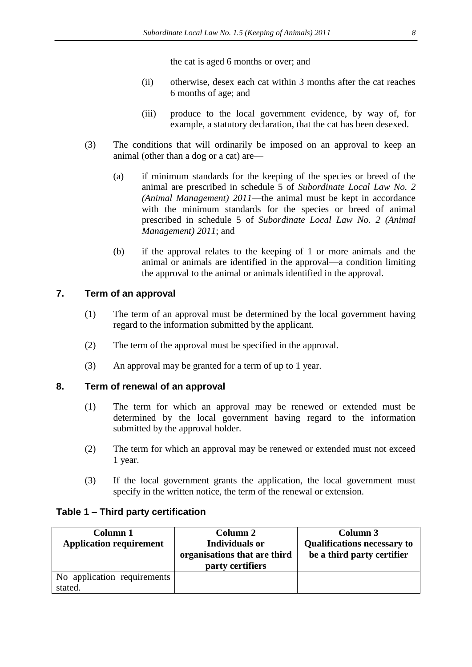the cat is aged 6 months or over; and

- (ii) otherwise, desex each cat within 3 months after the cat reaches 6 months of age; and
- (iii) produce to the local government evidence, by way of, for example, a statutory declaration, that the cat has been desexed.
- (3) The conditions that will ordinarily be imposed on an approval to keep an animal (other than a dog or a cat) are—
	- (a) if minimum standards for the keeping of the species or breed of the animal are prescribed in schedule 5 of *Subordinate Local Law No. 2 (Animal Management) 2011*—the animal must be kept in accordance with the minimum standards for the species or breed of animal prescribed in schedule 5 of *Subordinate Local Law No. 2 (Animal Management) 2011*; and
	- (b) if the approval relates to the keeping of 1 or more animals and the animal or animals are identified in the approval—a condition limiting the approval to the animal or animals identified in the approval.

## **7. Term of an approval**

- (1) The term of an approval must be determined by the local government having regard to the information submitted by the applicant.
- (2) The term of the approval must be specified in the approval.
- (3) An approval may be granted for a term of up to 1 year.

### **8. Term of renewal of an approval**

- (1) The term for which an approval may be renewed or extended must be determined by the local government having regard to the information submitted by the approval holder.
- (2) The term for which an approval may be renewed or extended must not exceed 1 year.
- (3) If the local government grants the application, the local government must specify in the written notice, the term of the renewal or extension.

#### **Table 1 – Third party certification**

| Column 1<br><b>Application requirement</b> | Column 2<br><b>Individuals or</b><br>organisations that are third<br>party certifiers | Column 3<br><b>Qualifications necessary to</b><br>be a third party certifier |
|--------------------------------------------|---------------------------------------------------------------------------------------|------------------------------------------------------------------------------|
| No application requirements                |                                                                                       |                                                                              |
| stated.                                    |                                                                                       |                                                                              |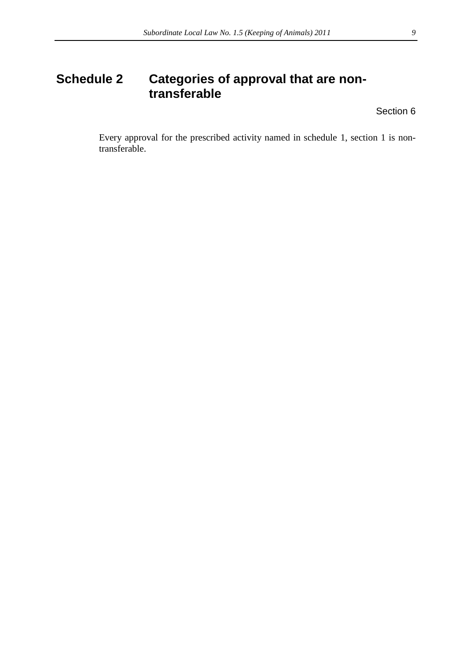# <span id="page-9-0"></span>**Schedule 2 Categories of approval that are nontransferable**

Section [6](#page-2-0)

Every approval for the prescribed activity named in schedule 1, section 1 is nontransferable.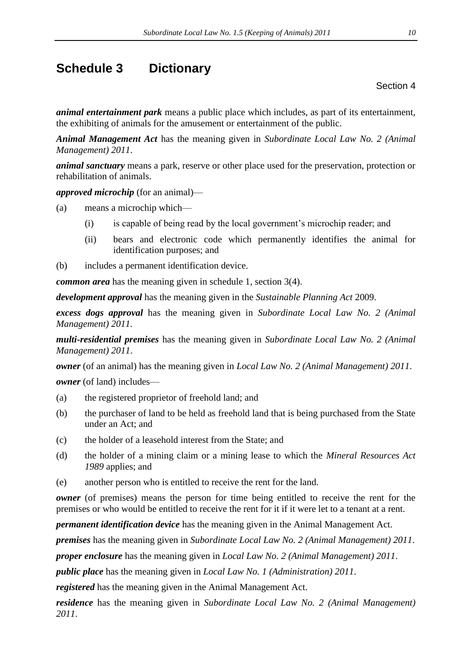# <span id="page-10-0"></span>**Schedule 3 Dictionary**

Section 4

*animal entertainment park* means a public place which includes, as part of its entertainment, the exhibiting of animals for the amusement or entertainment of the public.

*Animal Management Act* has the meaning given in *Subordinate Local Law No. 2 (Animal Management) 2011*.

*animal sanctuary* means a park, reserve or other place used for the preservation, protection or rehabilitation of animals.

*approved microchip* (for an animal)—

(a) means a microchip which—

- (i) is capable of being read by the local government's microchip reader; and
- (ii) bears and electronic code which permanently identifies the animal for identification purposes; and
- (b) includes a permanent identification device.

*common area* has the meaning given in schedule 1, section 3(4).

*development approval* has the meaning given in the *Sustainable Planning Act* 2009.

*excess dogs approval* has the meaning given in *Subordinate Local Law No. 2 (Animal Management) 2011.*

*multi-residential premises* has the meaning given in *Subordinate Local Law No. 2 (Animal Management) 2011*.

*owner* (of an animal) has the meaning given in *Local Law No. 2 (Animal Management) 2011*.

*owner* (of land) includes—

- (a) the registered proprietor of freehold land; and
- (b) the purchaser of land to be held as freehold land that is being purchased from the State under an Act; and
- (c) the holder of a leasehold interest from the State; and
- (d) the holder of a mining claim or a mining lease to which the *Mineral Resources Act 1989* applies; and
- (e) another person who is entitled to receive the rent for the land.

*owner* (of premises) means the person for time being entitled to receive the rent for the premises or who would be entitled to receive the rent for it if it were let to a tenant at a rent.

*permanent identification device* has the meaning given in the Animal Management Act.

*premises* has the meaning given in *Subordinate Local Law No. 2 (Animal Management) 2011*.

*proper enclosure* has the meaning given in *Local Law No. 2 (Animal Management) 2011*.

*public place* has the meaning given in *Local Law No. 1 (Administration) 2011*.

*registered* has the meaning given in the Animal Management Act.

*residence* has the meaning given in *Subordinate Local Law No. 2 (Animal Management) 2011*.